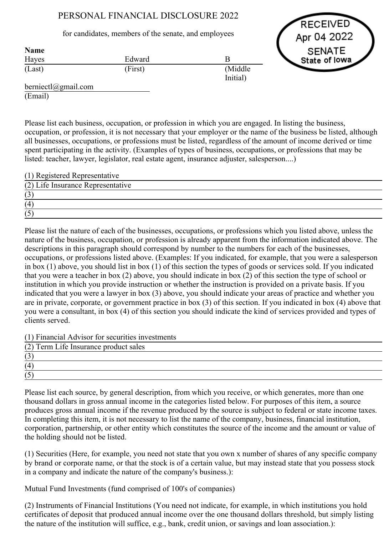## PERSONAL FINANCIAL DISCLOSURE 2022

for candidates, members of the senate, and employees



| <b>Name</b> |         |          |
|-------------|---------|----------|
| Hayes       | Edward  |          |
| (Last)      | (First) | (Middle) |
|             |         | Initial) |

berniectl@gmail.com (Email)

Please list each business, occupation, or profession in which you are engaged. In listing the business, occupation, or profession, it is not necessary that your employer or the name of the business be listed, although all businesses, occupations, or professions must be listed, regardless of the amount of income derived or time spent participating in the activity. (Examples of types of business, occupations, or professions that may be listed: teacher, lawyer, legislator, real estate agent, insurance adjuster, salesperson....)

| (1) Registered Representative     |  |
|-----------------------------------|--|
| (2) Life Insurance Representative |  |
|                                   |  |
| (4)                               |  |
|                                   |  |

Please list the nature of each of the businesses, occupations, or professions which you listed above, unless the nature of the business, occupation, or profession is already apparent from the information indicated above. The descriptions in this paragraph should correspond by number to the numbers for each of the businesses, occupations, or professions listed above. (Examples: If you indicated, for example, that you were a salesperson in box (1) above, you should list in box (1) of this section the types of goods or services sold. If you indicated that you were a teacher in box (2) above, you should indicate in box (2) of this section the type of school or institution in which you provide instruction or whether the instruction is provided on a private basis. If you indicated that you were a lawyer in box (3) above, you should indicate your areas of practice and whether you are in private, corporate, or government practice in box (3) of this section. If you indicated in box (4) above that you were a consultant, in box (4) of this section you should indicate the kind of services provided and types of clients served.

(1) Financial Advisor for securities investments

| (2) Term Life Insurance product sales |  |
|---------------------------------------|--|
| $\sqrt{2}$                            |  |
| (4)                                   |  |
|                                       |  |

Please list each source, by general description, from which you receive, or which generates, more than one thousand dollars in gross annual income in the categories listed below. For purposes of this item, a source produces gross annual income if the revenue produced by the source is subject to federal or state income taxes. In completing this item, it is not necessary to list the name of the company, business, financial institution, corporation, partnership, or other entity which constitutes the source of the income and the amount or value of the holding should not be listed.

(1) Securities (Here, for example, you need not state that you own x number of shares of any specific company by brand or corporate name, or that the stock is of a certain value, but may instead state that you possess stock in a company and indicate the nature of the company's business.):

Mutual Fund Investments (fund comprised of 100's of companies)

(2) Instruments of Financial Institutions (You need not indicate, for example, in which institutions you hold certificates of deposit that produced annual income over the one thousand dollars threshold, but simply listing the nature of the institution will suffice, e.g., bank, credit union, or savings and loan association.):